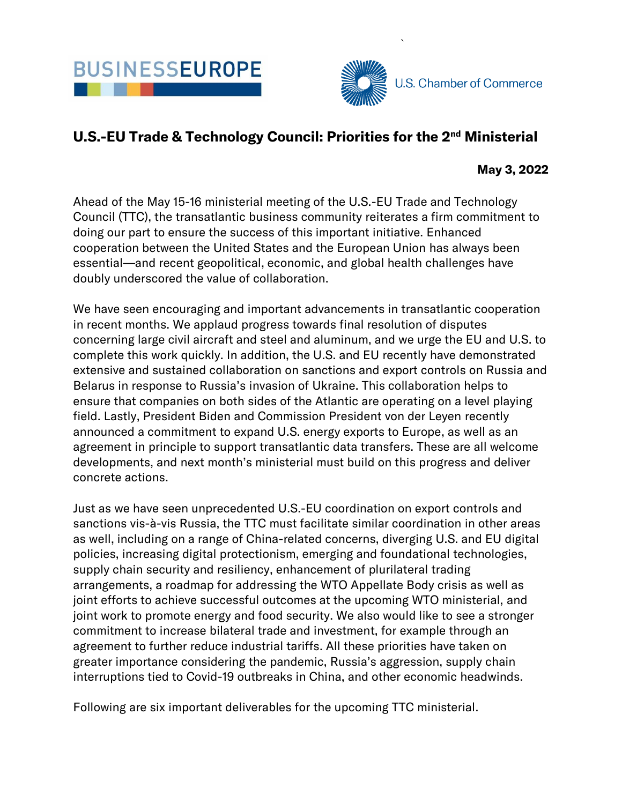



`

## U.S.-EU Trade & Technology Council: Priorities for the 2<sup>nd</sup> Ministerial

May 3, 2022

Ahead of the May 15-16 ministerial meeting of the U.S.-EU Trade and Technology Council (TTC), the transatlantic business community reiterates a firm commitment to doing our part to ensure the success of this important initiative. Enhanced cooperation between the United States and the European Union has always been essential—and recent geopolitical, economic, and global health challenges have doubly underscored the value of collaboration.

We have seen encouraging and important advancements in transatlantic cooperation in recent months. We applaud progress towards final resolution of disputes concerning large civil aircraft and steel and aluminum, and we urge the EU and U.S. to complete this work quickly. In addition, the U.S. and EU recently have demonstrated extensive and sustained collaboration on sanctions and export controls on Russia and Belarus in response to Russia's invasion of Ukraine. This collaboration helps to ensure that companies on both sides of the Atlantic are operating on a level playing field. Lastly, President Biden and Commission President von der Leyen recently announced a commitment to expand U.S. energy exports to Europe, as well as an agreement in principle to support transatlantic data transfers. These are all welcome developments, and next month's ministerial must build on this progress and deliver concrete actions.

Just as we have seen unprecedented U.S.-EU coordination on export controls and sanctions vis-à-vis Russia, the TTC must facilitate similar coordination in other areas as well, including on a range of China-related concerns, diverging U.S. and EU digital policies, increasing digital protectionism, emerging and foundational technologies, supply chain security and resiliency, enhancement of plurilateral trading arrangements, a roadmap for addressing the WTO Appellate Body crisis as well as joint efforts to achieve successful outcomes at the upcoming WTO ministerial, and joint work to promote energy and food security. We also would like to see a stronger commitment to increase bilateral trade and investment, for example through an agreement to further reduce industrial tariffs. All these priorities have taken on greater importance considering the pandemic, Russia's aggression, supply chain interruptions tied to Covid-19 outbreaks in China, and other economic headwinds.

Following are six important deliverables for the upcoming TTC ministerial.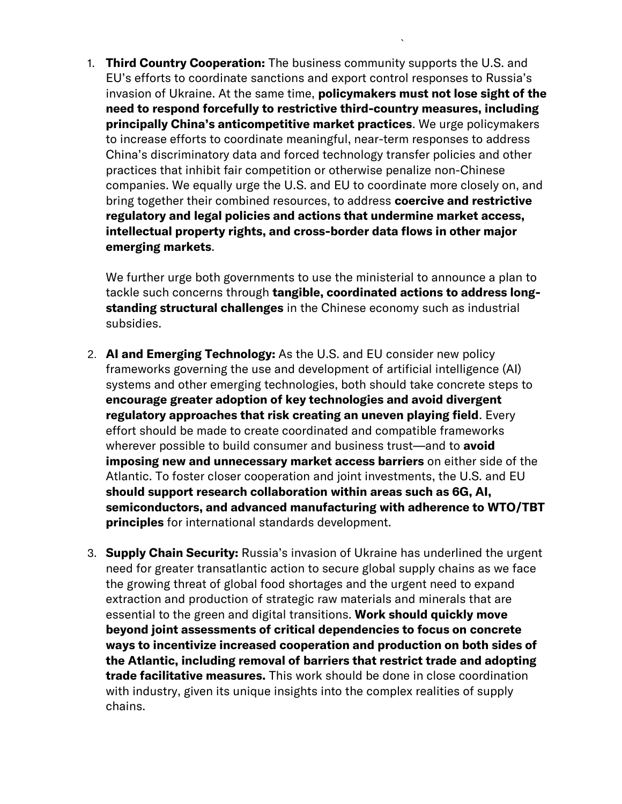1. Third Country Cooperation: The business community supports the U.S. and EU's efforts to coordinate sanctions and export control responses to Russia's invasion of Ukraine. At the same time, **policymakers must not lose sight of the** need to respond forcefully to restrictive third-country measures, including principally China's anticompetitive market practices. We urge policymakers to increase efforts to coordinate meaningful, near-term responses to address China's discriminatory data and forced technology transfer policies and other practices that inhibit fair competition or otherwise penalize non-Chinese companies. We equally urge the U.S. and EU to coordinate more closely on, and bring together their combined resources, to address coercive and restrictive regulatory and legal policies and actions that undermine market access, intellectual property rights, and cross-border data flows in other major emerging markets.

`

We further urge both governments to use the ministerial to announce a plan to tackle such concerns through **tangible, coordinated actions to address long**standing structural challenges in the Chinese economy such as industrial subsidies.

- 2. AI and Emerging Technology: As the U.S. and EU consider new policy frameworks governing the use and development of artificial intelligence (AI) systems and other emerging technologies, both should take concrete steps to encourage greater adoption of key technologies and avoid divergent regulatory approaches that risk creating an uneven playing field. Every effort should be made to create coordinated and compatible frameworks wherever possible to build consumer and business trust—and to avoid imposing new and unnecessary market access barriers on either side of the Atlantic. To foster closer cooperation and joint investments, the U.S. and EU should support research collaboration within areas such as 6G, AI, semiconductors, and advanced manufacturing with adherence to WTO/TBT principles for international standards development.
- 3. **Supply Chain Security:** Russia's invasion of Ukraine has underlined the urgent need for greater transatlantic action to secure global supply chains as we face the growing threat of global food shortages and the urgent need to expand extraction and production of strategic raw materials and minerals that are essential to the green and digital transitions. Work should quickly move beyond joint assessments of critical dependencies to focus on concrete ways to incentivize increased cooperation and production on both sides of the Atlantic, including removal of barriers that restrict trade and adopting trade facilitative measures. This work should be done in close coordination with industry, given its unique insights into the complex realities of supply chains.